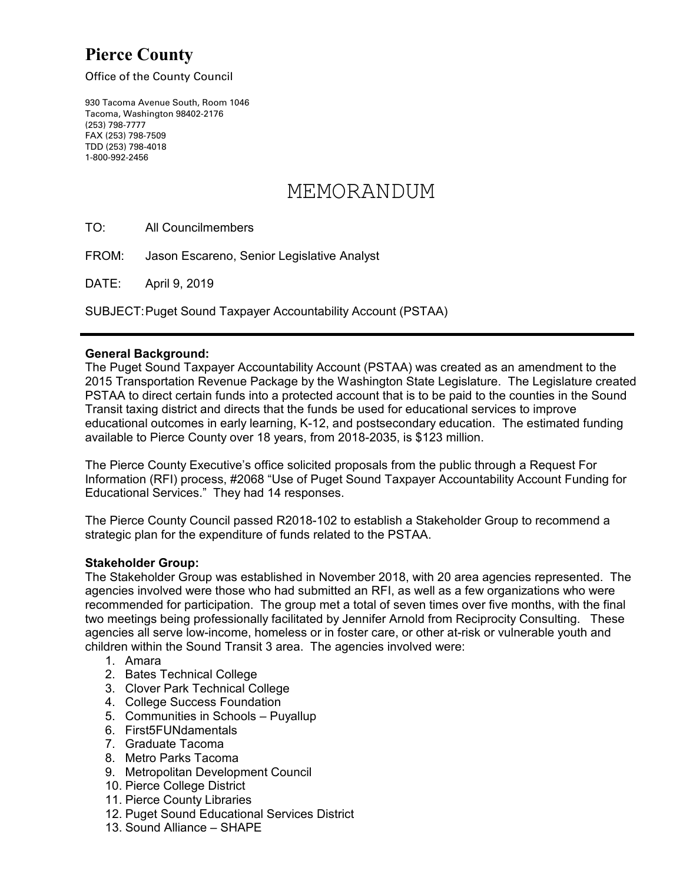## **Pierce County**

Office of the County Council

930 Tacoma Avenue South, Room 1046 Tacoma, Washington 98402-2176 (253) 798-7777 FAX (253) 798-7509 TDD (253) 798-4018 1-800-992-2456

# MEMORANDUM

TO: All Councilmembers

FROM: Jason Escareno, Senior Legislative Analyst

DATE: April 9, 2019

SUBJECT:Puget Sound Taxpayer Accountability Account (PSTAA)

#### **General Background:**

The Puget Sound Taxpayer Accountability Account (PSTAA) was created as an amendment to the 2015 Transportation Revenue Package by the Washington State Legislature. The Legislature created PSTAA to direct certain funds into a protected account that is to be paid to the counties in the Sound Transit taxing district and directs that the funds be used for educational services to improve educational outcomes in early learning, K-12, and postsecondary education. The estimated funding available to Pierce County over 18 years, from 2018-2035, is \$123 million.

The Pierce County Executive's office solicited proposals from the public through a Request For Information (RFI) process, #2068 "Use of Puget Sound Taxpayer Accountability Account Funding for Educational Services." They had 14 responses.

The Pierce County Council passed R2018-102 to establish a Stakeholder Group to recommend a strategic plan for the expenditure of funds related to the PSTAA.

#### **Stakeholder Group:**

The Stakeholder Group was established in November 2018, with 20 area agencies represented. The agencies involved were those who had submitted an RFI, as well as a few organizations who were recommended for participation. The group met a total of seven times over five months, with the final two meetings being professionally facilitated by Jennifer Arnold from Reciprocity Consulting. These agencies all serve low-income, homeless or in foster care, or other at-risk or vulnerable youth and children within the Sound Transit 3 area. The agencies involved were:

- 1. Amara
- 2. Bates Technical College
- 3. Clover Park Technical College
- 4. College Success Foundation
- 5. Communities in Schools Puyallup
- 6. First5FUNdamentals
- 7. Graduate Tacoma
- 8. Metro Parks Tacoma
- 9. Metropolitan Development Council
- 10. Pierce College District
- 11. Pierce County Libraries
- 12. Puget Sound Educational Services District
- 13. Sound Alliance SHAPE